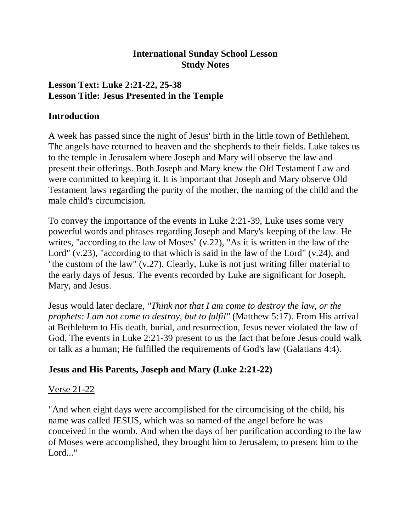#### **International Sunday School Lesson Study Notes**

## **Lesson Text: Luke 2:21-22, 25-38 Lesson Title: Jesus Presented in the Temple**

## **Introduction**

A week has passed since the night of Jesus' birth in the little town of Bethlehem. The angels have returned to heaven and the shepherds to their fields. Luke takes us to the temple in Jerusalem where Joseph and Mary will observe the law and present their offerings. Both Joseph and Mary knew the Old Testament Law and were committed to keeping it. It is important that Joseph and Mary observe Old Testament laws regarding the purity of the mother, the naming of the child and the male child's circumcision.

To convey the importance of the events in Luke 2:21-39, Luke uses some very powerful words and phrases regarding Joseph and Mary's keeping of the law. He writes, "according to the law of Moses" (v.22), "As it is written in the law of the Lord"  $(v.23)$ , "according to that which is said in the law of the Lord"  $(v.24)$ , and "the custom of the law" (v.27). Clearly, Luke is not just writing filler material to the early days of Jesus. The events recorded by Luke are significant for Joseph, Mary, and Jesus.

Jesus would later declare, *"Think not that I am come to destroy the law, or the prophets: I am not come to destroy, but to fulfil"* (Matthew 5:17). From His arrival at Bethlehem to His death, burial, and resurrection, Jesus never violated the law of God. The events in Luke 2:21-39 present to us the fact that before Jesus could walk or talk as a human; He fulfilled the requirements of God's law (Galatians 4:4).

## **Jesus and His Parents, Joseph and Mary (Luke 2:21-22)**

## Verse 21-22

"And when eight days were accomplished for the circumcising of the child, his name was called JESUS, which was so named of the angel before he was conceived in the womb. And when the days of her purification according to the law of Moses were accomplished, they brought him to Jerusalem, to present him to the Lord..."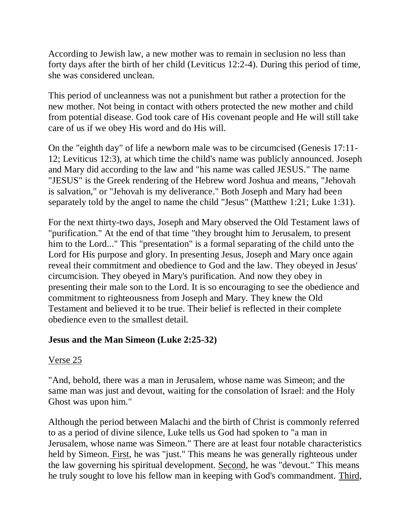According to Jewish law, a new mother was to remain in seclusion no less than forty days after the birth of her child (Leviticus 12:2-4). During this period of time, she was considered unclean.

This period of uncleanness was not a punishment but rather a protection for the new mother. Not being in contact with others protected the new mother and child from potential disease. God took care of His covenant people and He will still take care of us if we obey His word and do His will.

On the "eighth day" of life a newborn male was to be circumcised (Genesis 17:11- 12; Leviticus 12:3), at which time the child's name was publicly announced. Joseph and Mary did according to the law and "his name was called JESUS." The name "JESUS" is the Greek rendering of the Hebrew word Joshua and means, "Jehovah is salvation," or "Jehovah is my deliverance." Both Joseph and Mary had been separately told by the angel to name the child "Jesus" (Matthew 1:21; Luke 1:31).

For the next thirty-two days, Joseph and Mary observed the Old Testament laws of "purification." At the end of that time "they brought him to Jerusalem, to present him to the Lord..." This "presentation" is a formal separating of the child unto the Lord for His purpose and glory. In presenting Jesus, Joseph and Mary once again reveal their commitment and obedience to God and the law. They obeyed in Jesus' circumcision. They obeyed in Mary's purification. And now they obey in presenting their male son to the Lord. It is so encouraging to see the obedience and commitment to righteousness from Joseph and Mary. They knew the Old Testament and believed it to be true. Their belief is reflected in their complete obedience even to the smallest detail.

## **Jesus and the Man Simeon (Luke 2:25-32)**

## Verse 25

"And, behold, there was a man in Jerusalem, whose name was Simeon; and the same man was just and devout, waiting for the consolation of Israel: and the Holy Ghost was upon him."

Although the period between Malachi and the birth of Christ is commonly referred to as a period of divine silence, Luke tells us God had spoken to "a man in Jerusalem, whose name was Simeon." There are at least four notable characteristics held by Simeon. First, he was "just." This means he was generally righteous under the law governing his spiritual development. Second, he was "devout." This means he truly sought to love his fellow man in keeping with God's commandment. Third,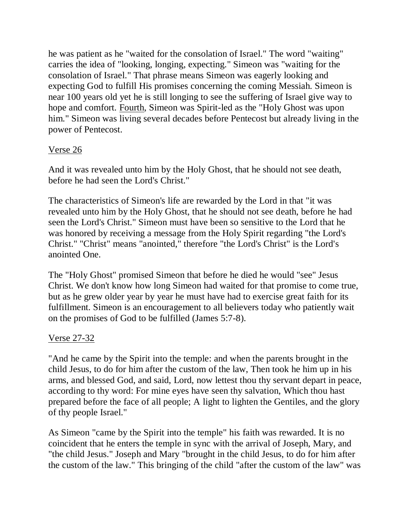he was patient as he "waited for the consolation of Israel." The word "waiting" carries the idea of "looking, longing, expecting." Simeon was "waiting for the consolation of Israel." That phrase means Simeon was eagerly looking and expecting God to fulfill His promises concerning the coming Messiah. Simeon is near 100 years old yet he is still longing to see the suffering of Israel give way to hope and comfort. Fourth, Simeon was Spirit-led as the "Holy Ghost was upon him." Simeon was living several decades before Pentecost but already living in the power of Pentecost.

# Verse 26

And it was revealed unto him by the Holy Ghost, that he should not see death, before he had seen the Lord's Christ."

The characteristics of Simeon's life are rewarded by the Lord in that "it was revealed unto him by the Holy Ghost, that he should not see death, before he had seen the Lord's Christ." Simeon must have been so sensitive to the Lord that he was honored by receiving a message from the Holy Spirit regarding "the Lord's Christ." "Christ" means "anointed," therefore "the Lord's Christ" is the Lord's anointed One.

The "Holy Ghost" promised Simeon that before he died he would "see" Jesus Christ. We don't know how long Simeon had waited for that promise to come true, but as he grew older year by year he must have had to exercise great faith for its fulfillment. Simeon is an encouragement to all believers today who patiently wait on the promises of God to be fulfilled (James 5:7-8).

## Verse 27-32

"And he came by the Spirit into the temple: and when the parents brought in the child Jesus, to do for him after the custom of the law, Then took he him up in his arms, and blessed God, and said, Lord, now lettest thou thy servant depart in peace, according to thy word: For mine eyes have seen thy salvation, Which thou hast prepared before the face of all people; A light to lighten the Gentiles, and the glory of thy people Israel."

As Simeon "came by the Spirit into the temple" his faith was rewarded. It is no coincident that he enters the temple in sync with the arrival of Joseph, Mary, and "the child Jesus." Joseph and Mary "brought in the child Jesus, to do for him after the custom of the law." This bringing of the child "after the custom of the law" was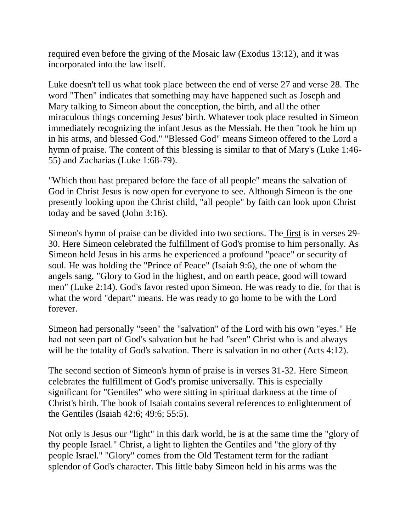required even before the giving of the Mosaic law (Exodus 13:12), and it was incorporated into the law itself.

Luke doesn't tell us what took place between the end of verse 27 and verse 28. The word "Then" indicates that something may have happened such as Joseph and Mary talking to Simeon about the conception, the birth, and all the other miraculous things concerning Jesus' birth. Whatever took place resulted in Simeon immediately recognizing the infant Jesus as the Messiah. He then "took he him up in his arms, and blessed God." "Blessed God" means Simeon offered to the Lord a hymn of praise. The content of this blessing is similar to that of Mary's (Luke 1:46- 55) and Zacharias (Luke 1:68-79).

"Which thou hast prepared before the face of all people" means the salvation of God in Christ Jesus is now open for everyone to see. Although Simeon is the one presently looking upon the Christ child, "all people" by faith can look upon Christ today and be saved (John 3:16).

Simeon's hymn of praise can be divided into two sections. The first is in verses 29- 30. Here Simeon celebrated the fulfillment of God's promise to him personally. As Simeon held Jesus in his arms he experienced a profound "peace" or security of soul. He was holding the "Prince of Peace" (Isaiah 9:6), the one of whom the angels sang, "Glory to God in the highest, and on earth peace, good will toward men" (Luke 2:14). God's favor rested upon Simeon. He was ready to die, for that is what the word "depart" means. He was ready to go home to be with the Lord forever.

Simeon had personally "seen" the "salvation" of the Lord with his own "eyes." He had not seen part of God's salvation but he had "seen" Christ who is and always will be the totality of God's salvation. There is salvation in no other (Acts 4:12).

The second section of Simeon's hymn of praise is in verses 31-32. Here Simeon celebrates the fulfillment of God's promise universally. This is especially significant for "Gentiles" who were sitting in spiritual darkness at the time of Christ's birth. The book of Isaiah contains several references to enlightenment of the Gentiles (Isaiah 42:6; 49:6; 55:5).

Not only is Jesus our "light" in this dark world, he is at the same time the "glory of thy people Israel." Christ, a light to lighten the Gentiles and "the glory of thy people Israel." "Glory" comes from the Old Testament term for the radiant splendor of God's character. This little baby Simeon held in his arms was the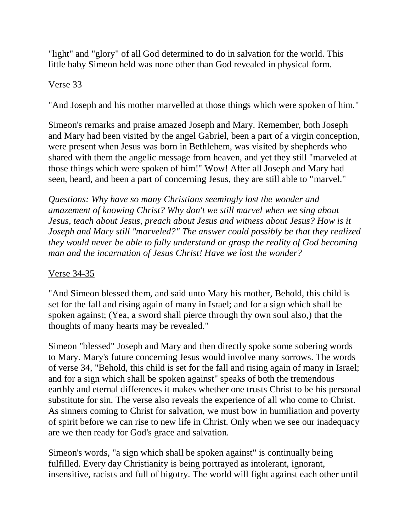"light" and "glory" of all God determined to do in salvation for the world. This little baby Simeon held was none other than God revealed in physical form.

#### Verse 33

"And Joseph and his mother marvelled at those things which were spoken of him."

Simeon's remarks and praise amazed Joseph and Mary. Remember, both Joseph and Mary had been visited by the angel Gabriel, been a part of a virgin conception, were present when Jesus was born in Bethlehem, was visited by shepherds who shared with them the angelic message from heaven, and yet they still "marveled at those things which were spoken of him!" Wow! After all Joseph and Mary had seen, heard, and been a part of concerning Jesus, they are still able to "marvel."

*Questions: Why have so many Christians seemingly lost the wonder and amazement of knowing Christ? Why don't we still marvel when we sing about Jesus, teach about Jesus, preach about Jesus and witness about Jesus? How is it Joseph and Mary still "marveled?" The answer could possibly be that they realized they would never be able to fully understand or grasp the reality of God becoming man and the incarnation of Jesus Christ! Have we lost the wonder?*

## Verse 34-35

"And Simeon blessed them, and said unto Mary his mother, Behold, this child is set for the fall and rising again of many in Israel; and for a sign which shall be spoken against; (Yea, a sword shall pierce through thy own soul also,) that the thoughts of many hearts may be revealed."

Simeon "blessed" Joseph and Mary and then directly spoke some sobering words to Mary. Mary's future concerning Jesus would involve many sorrows. The words of verse 34, "Behold, this child is set for the fall and rising again of many in Israel; and for a sign which shall be spoken against" speaks of both the tremendous earthly and eternal differences it makes whether one trusts Christ to be his personal substitute for sin. The verse also reveals the experience of all who come to Christ. As sinners coming to Christ for salvation, we must bow in humiliation and poverty of spirit before we can rise to new life in Christ. Only when we see our inadequacy are we then ready for God's grace and salvation.

Simeon's words, "a sign which shall be spoken against" is continually being fulfilled. Every day Christianity is being portrayed as intolerant, ignorant, insensitive, racists and full of bigotry. The world will fight against each other until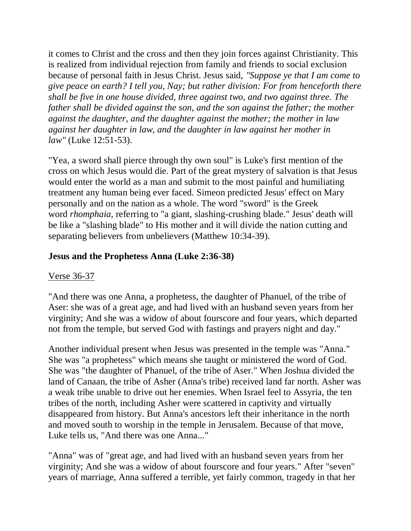it comes to Christ and the cross and then they join forces against Christianity. This is realized from individual rejection from family and friends to social exclusion because of personal faith in Jesus Christ. Jesus said, *"Suppose ye that I am come to give peace on earth? I tell you, Nay; but rather division: For from henceforth there shall be five in one house divided, three against two, and two against three. The father shall be divided against the son, and the son against the father; the mother against the daughter, and the daughter against the mother; the mother in law against her daughter in law, and the daughter in law against her mother in law"* (Luke 12:51-53).

"Yea, a sword shall pierce through thy own soul" is Luke's first mention of the cross on which Jesus would die. Part of the great mystery of salvation is that Jesus would enter the world as a man and submit to the most painful and humiliating treatment any human being ever faced. Simeon predicted Jesus' effect on Mary personally and on the nation as a whole. The word "sword" is the Greek word *rhomphaia*, referring to "a giant, slashing-crushing blade." Jesus' death will be like a "slashing blade" to His mother and it will divide the nation cutting and separating believers from unbelievers (Matthew 10:34-39).

#### **Jesus and the Prophetess Anna (Luke 2:36-38)**

#### Verse 36-37

"And there was one Anna, a prophetess, the daughter of Phanuel, of the tribe of Aser: she was of a great age, and had lived with an husband seven years from her virginity; And she was a widow of about fourscore and four years, which departed not from the temple, but served God with fastings and prayers night and day."

Another individual present when Jesus was presented in the temple was "Anna." She was "a prophetess" which means she taught or ministered the word of God. She was "the daughter of Phanuel, of the tribe of Aser." When Joshua divided the land of Canaan, the tribe of Asher (Anna's tribe) received land far north. Asher was a weak tribe unable to drive out her enemies. When Israel feel to Assyria, the ten tribes of the north, including Asher were scattered in captivity and virtually disappeared from history. But Anna's ancestors left their inheritance in the north and moved south to worship in the temple in Jerusalem. Because of that move, Luke tells us, "And there was one Anna..."

"Anna" was of "great age, and had lived with an husband seven years from her virginity; And she was a widow of about fourscore and four years." After "seven" years of marriage, Anna suffered a terrible, yet fairly common, tragedy in that her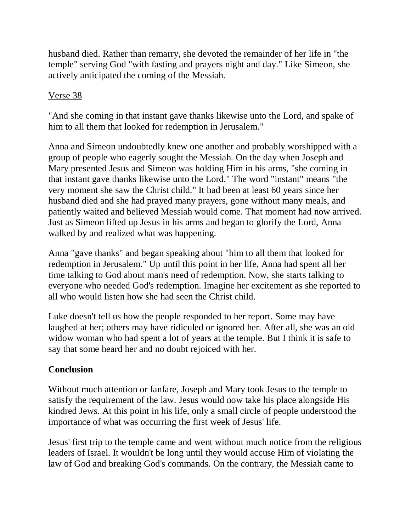husband died. Rather than remarry, she devoted the remainder of her life in "the temple" serving God "with fasting and prayers night and day." Like Simeon, she actively anticipated the coming of the Messiah.

#### Verse 38

"And she coming in that instant gave thanks likewise unto the Lord, and spake of him to all them that looked for redemption in Jerusalem."

Anna and Simeon undoubtedly knew one another and probably worshipped with a group of people who eagerly sought the Messiah. On the day when Joseph and Mary presented Jesus and Simeon was holding Him in his arms, "she coming in that instant gave thanks likewise unto the Lord." The word "instant" means "the very moment she saw the Christ child." It had been at least 60 years since her husband died and she had prayed many prayers, gone without many meals, and patiently waited and believed Messiah would come. That moment had now arrived. Just as Simeon lifted up Jesus in his arms and began to glorify the Lord, Anna walked by and realized what was happening.

Anna "gave thanks" and began speaking about "him to all them that looked for redemption in Jerusalem." Up until this point in her life, Anna had spent all her time talking to God about man's need of redemption. Now, she starts talking to everyone who needed God's redemption. Imagine her excitement as she reported to all who would listen how she had seen the Christ child.

Luke doesn't tell us how the people responded to her report. Some may have laughed at her; others may have ridiculed or ignored her. After all, she was an old widow woman who had spent a lot of years at the temple. But I think it is safe to say that some heard her and no doubt rejoiced with her.

## **Conclusion**

Without much attention or fanfare, Joseph and Mary took Jesus to the temple to satisfy the requirement of the law. Jesus would now take his place alongside His kindred Jews. At this point in his life, only a small circle of people understood the importance of what was occurring the first week of Jesus' life.

Jesus' first trip to the temple came and went without much notice from the religious leaders of Israel. It wouldn't be long until they would accuse Him of violating the law of God and breaking God's commands. On the contrary, the Messiah came to